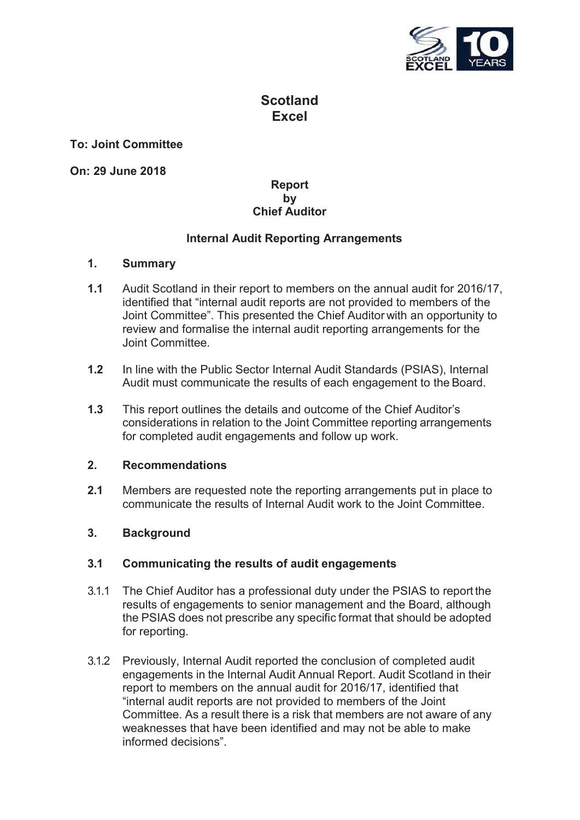

# **Scotland Excel**

## **To: Joint Committee**

**On: 29 June 2018**

# **Report by Chief Auditor**

## **Internal Audit Reporting Arrangements**

#### **1. Summary**

- **1.1** Audit Scotland in their report to members on the annual audit for 2016/17, identified that "internal audit reports are not provided to members of the Joint Committee". This presented the Chief Auditor with an opportunity to review and formalise the internal audit reporting arrangements for the Joint Committee.
- **1.2** In line with the Public Sector Internal Audit Standards (PSIAS), Internal Audit must communicate the results of each engagement to the Board.
- **1.3** This report outlines the details and outcome of the Chief Auditor's considerations in relation to the Joint Committee reporting arrangements for completed audit engagements and follow up work.

#### **2. Recommendations**

**2.1** Members are requested note the reporting arrangements put in place to communicate the results of Internal Audit work to the Joint Committee.

#### **3. Background**

#### **3.1 Communicating the results of audit engagements**

- 3.1.1 The Chief Auditor has a professional duty under the PSIAS to report the results of engagements to senior management and the Board, although the PSIAS does not prescribe any specific format that should be adopted for reporting.
- 3.1.2 Previously, Internal Audit reported the conclusion of completed audit engagements in the Internal Audit Annual Report. Audit Scotland in their report to members on the annual audit for 2016/17, identified that "internal audit reports are not provided to members of the Joint Committee. As a result there is a risk that members are not aware of any weaknesses that have been identified and may not be able to make informed decisions".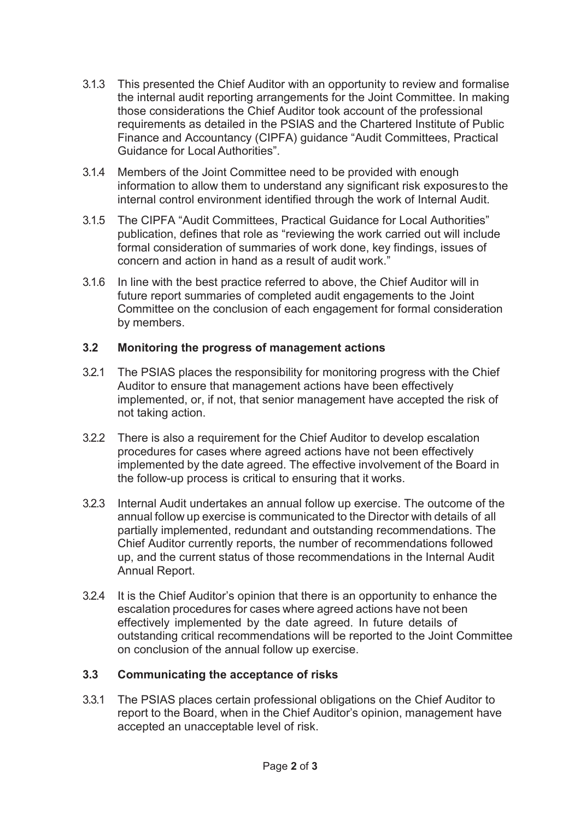- 3.1.3 This presented the Chief Auditor with an opportunity to review and formalise the internal audit reporting arrangements for the Joint Committee. In making those considerations the Chief Auditor took account of the professional requirements as detailed in the PSIAS and the Chartered Institute of Public Finance and Accountancy (CIPFA) guidance "Audit Committees, Practical Guidance for Local Authorities".
- 3.1.4 Members of the Joint Committee need to be provided with enough information to allow them to understand any significant risk exposures to the internal control environment identified through the work of Internal Audit.
- 3.1.5 The CIPFA "Audit Committees, Practical Guidance for Local Authorities" publication, defines that role as "reviewing the work carried out will include formal consideration of summaries of work done, key findings, issues of concern and action in hand as a result of audit work."
- 3.1.6 In line with the best practice referred to above, the Chief Auditor will in future report summaries of completed audit engagements to the Joint Committee on the conclusion of each engagement for formal consideration by members.

# **3.2 Monitoring the progress of management actions**

- 3.2.1 The PSIAS places the responsibility for monitoring progress with the Chief Auditor to ensure that management actions have been effectively implemented, or, if not, that senior management have accepted the risk of not taking action.
- 3.2.2 There is also a requirement for the Chief Auditor to develop escalation procedures for cases where agreed actions have not been effectively implemented by the date agreed. The effective involvement of the Board in the follow-up process is critical to ensuring that it works.
- 3.2.3 Internal Audit undertakes an annual follow up exercise. The outcome of the annual follow up exercise is communicated to the Director with details of all partially implemented, redundant and outstanding recommendations. The Chief Auditor currently reports, the number of recommendations followed up, and the current status of those recommendations in the Internal Audit Annual Report.
- 3.2.4 It is the Chief Auditor's opinion that there is an opportunity to enhance the escalation procedures for cases where agreed actions have not been effectively implemented by the date agreed. In future details of outstanding critical recommendations will be reported to the Joint Committee on conclusion of the annual follow up exercise.

#### **3.3 Communicating the acceptance of risks**

3.3.1 The PSIAS places certain professional obligations on the Chief Auditor to report to the Board, when in the Chief Auditor's opinion, management have accepted an unacceptable level of risk.